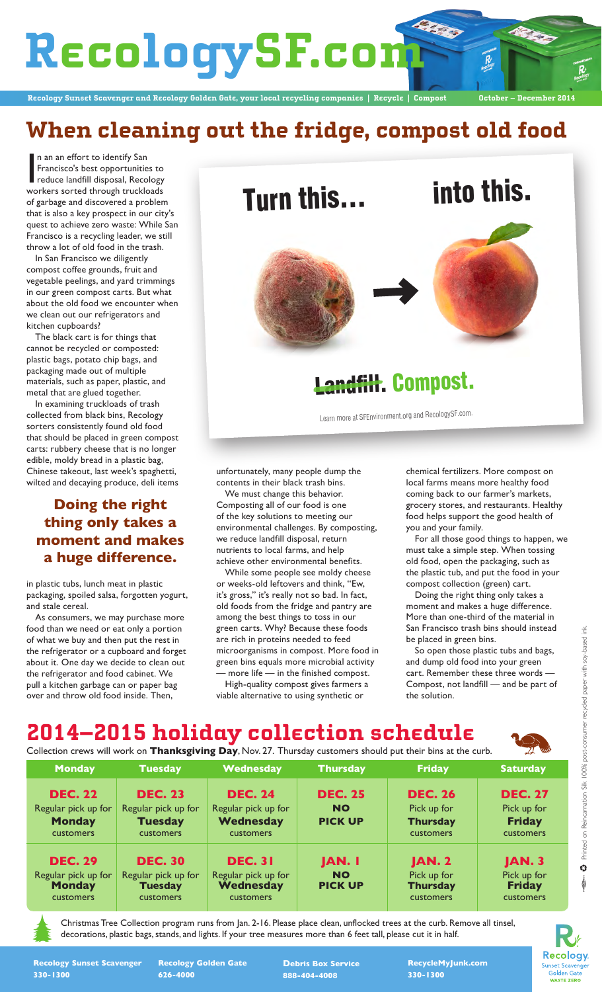# RecologySF.com

Recology Sunset Scavenger and Recology Golden Gate, your local recycling companies | Recycle | Compost **October – December 2014**

### **When cleaning out the fridge, compost old food**

In an an effort to identify San<br>Francisco's best opportunities to<br>reduce landfill disposal, Recology<br>workers sorted through truckloads n an an effort to identify San Francisco's best opportunities to reduce landfill disposal, Recology of garbage and discovered a problem that is also a key prospect in our city's quest to achieve zero waste: While San Francisco is a recycling leader, we still throw a lot of old food in the trash.

In San Francisco we diligently compost coffee grounds, fruit and vegetable peelings, and yard trimmings in our green compost carts. But what about the old food we encounter when we clean out our refrigerators and kitchen cupboards?

The black cart is for things that cannot be recycled or composted: plastic bags, potato chip bags, and packaging made out of multiple materials, such as paper, plastic, and metal that are glued together.

In examining truckloads of trash collected from black bins, Recology sorters consistently found old food that should be placed in green compost carts: rubbery cheese that is no longer edible, moldy bread in a plastic bag, Chinese takeout, last week's spaghetti, wilted and decaying produce, deli items

#### **Doing the right thing only takes a moment and makes a huge difference.**

in plastic tubs, lunch meat in plastic packaging, spoiled salsa, forgotten yogurt, and stale cereal.

As consumers, we may purchase more food than we need or eat only a portion of what we buy and then put the rest in the refrigerator or a cupboard and forget about it. One day we decide to clean out the refrigerator and food cabinet. We pull a kitchen garbage can or paper bag over and throw old food inside. Then,



## L<del>andfill</del>. Compost.

Learn more at SFEnvironment.org and RecologySF.com.

unfortunately, many people dump the contents in their black trash bins.

We must change this behavior. Composting all of our food is one of the key solutions to meeting our environmental challenges. By composting, we reduce landfill disposal, return nutrients to local farms, and help achieve other environmental benefits.

While some people see moldy cheese or weeks-old leftovers and think, "Ew, it's gross," it's really not so bad. In fact, old foods from the fridge and pantry are among the best things to toss in our green carts. Why? Because these foods are rich in proteins needed to feed microorganisms in compost. More food in green bins equals more microbial activity - more life — in the finished compost.

High-quality compost gives farmers a viable alternative to using synthetic or

chemical fertilizers. More compost on local farms means more healthy food coming back to our farmer's markets, grocery stores, and restaurants. Healthy food helps support the good health of you and your family.

For all those good things to happen, we must take a simple step. When tossing old food, open the packaging, such as the plastic tub, and put the food in your compost collection (green) cart.

Doing the right thing only takes a moment and makes a huge difference. More than one-third of the material in San Francisco trash bins should instead be placed in green bins.

So open those plastic tubs and bags, and dump old food into your green cart. Remember these three words — Compost, not landfill — and be part of the solution.

#### 2014–2015 holiday collection schedule

Collection crews will work on **Thanksgiving Day**, Nov. 27. Thursday customers should put their bins at the curb.

| <b>Monday</b>                                                              | <b>Tuesday</b>                                                       | Wednesday                                                              | <b>Thursday</b>                               | <b>Friday</b>                                                 | <b>Saturday</b>                                             |
|----------------------------------------------------------------------------|----------------------------------------------------------------------|------------------------------------------------------------------------|-----------------------------------------------|---------------------------------------------------------------|-------------------------------------------------------------|
| <b>DEC. 22</b><br>Regular pick up for<br><b>Monday</b><br>customers        | <b>DEC. 23</b><br>Regular pick up for<br><b>Tuesday</b><br>customers | <b>DEC. 24</b><br>Regular pick up for<br><b>Wednesday</b><br>customers | <b>DEC. 25</b><br><b>NO</b><br><b>PICK UP</b> | <b>DEC. 26</b><br>Pick up for<br><b>Thursday</b><br>customers | <b>DEC. 27</b><br>Pick up for<br><b>Friday</b><br>customers |
| <b>DEC. 29</b><br>Regular pick up for<br><b>Monday</b><br><b>customers</b> | <b>DEC. 30</b><br>Regular pick up for<br><b>Tuesday</b><br>customers | <b>DEC. 31</b><br>Regular pick up for<br><b>Wednesday</b><br>customers | <b>JAN.</b> I<br><b>NO</b><br><b>PICK UP</b>  | <b>JAN. 2</b><br>Pick up for<br><b>Thursday</b><br>customers  | <b>JAN. 3</b><br>Pick up for<br><b>Friday</b><br>customers  |

Christmas Tree Collection program runs from Jan. 2-16. Please place clean, unflocked trees at the curb. Remove all tinsel, decorations, plastic bags, stands, and lights. If your tree measures more than 6 feet tall, please cut it in half.

Printed on Reincarnation Silk I 00% post-consumer recycled paper with soy-based ink Printed on Reincarnation Silk 100% post-consumer recycled paper with soy-based ink.  $\ddot{\rm c}$ 



**Recology Sunset Scavenger 330-1300** 

**Recology Golden Gate 626-4000**

**Debris Box Service 888-404-4008**

**RecycleMyJunk.com 330-1300**